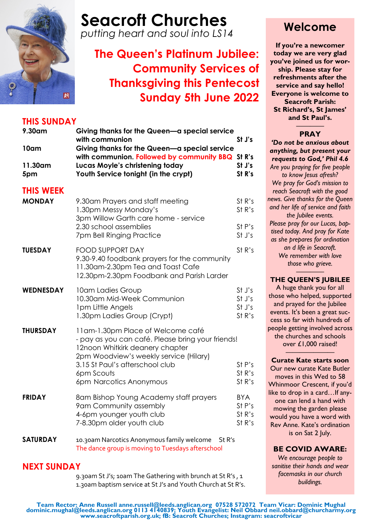

# **Seacroft Churches**

*putting heart and soul into LS14*

# **The Queen's Platinum Jubilee: Community Services of Thanksgiving this Pentecost Sunday 5th June 2022**

### **THIS SUNDAY**

| 9.30am<br>10am                    | Giving thanks for the Queen-a special service<br>with communion<br>Giving thanks for the Queen-a special service                                                                                                                                | St J's                                   |
|-----------------------------------|-------------------------------------------------------------------------------------------------------------------------------------------------------------------------------------------------------------------------------------------------|------------------------------------------|
| 11.30am<br>5pm                    | with communion. Followed by community BBQ St R's<br>Lucas Moyle's christening today<br>Youth Service tonight (in the crypt)                                                                                                                     | St J's<br>St R's                         |
| <b>THIS WEEK</b><br><b>MONDAY</b> | 9.30am Prayers and staff meeting<br>1.30pm Messy Monday's<br>3pm Willow Garth care home - service<br>2.30 school assemblies<br>7pm Bell Ringing Practice                                                                                        | St R's<br>St R's<br>St P's<br>St J's     |
| <b>TUESDAY</b>                    | <b>FOOD SUPPORT DAY</b><br>9.30-9.40 foodbank prayers for the community<br>11.30am-2.30pm Tea and Toast Cafe<br>12.30pm-2.30pm Foodbank and Parish Larder                                                                                       | St R's                                   |
| <b>WEDNESDAY</b>                  | 10am Ladies Group<br>10.30am Mid-Week Communion<br>1pm Little Angels<br>1.30pm Ladies Group (Crypt)                                                                                                                                             | St J's<br>St J's<br>St J's<br>St R's     |
| <b>THURSDAY</b>                   | 11am-1.30pm Place of Welcome café<br>- pay as you can café. Please bring your friends!<br>12noon Whitkirk deanery chapter<br>2pm Woodview's weekly service (Hilary)<br>3.15 St Paul's afterschool club<br>6pm Scouts<br>6pm Narcotics Anonymous | St P's<br>St R's<br>St R's               |
| <b>FRIDAY</b>                     | 8am Bishop Young Academy staff prayers<br>9am Community assembly<br>4-6pm younger youth club<br>7-8.30pm older youth club                                                                                                                       | <b>BYA</b><br>St P's<br>St R's<br>St R's |
| <b>SATURDAY</b>                   | 10.30am Narcotics Anonymous family welcome<br>St R's                                                                                                                                                                                            |                                          |

The dance group is moving to Tuesdays afterschool

### **NEXT SUNDAY**

9.30am St J's; 10am The Gathering with brunch at St R's , 1 1.30am baptism service at St J's and Youth Church at St R's.

## **Welcome**

**If you're a newcomer today we are very glad you've joined us for worship. Please stay for refreshments after the service and say hello! Everyone is welcome to Seacroft Parish: St Richard's, St James' and St Paul's.**

#### ———— **PRAY**

*'Do not be anxious about anything, but present your requests to God,' Phil 4.6 Are you praying for five people to know Jesus afresh? We pray for God's mission to reach Seacroft with the good news. Give thanks for the Queen and her life of service and faith the Jubilee events. Please pray for our Lucas, baptised today. And pray for Kate as she prepares for ordination an d life in Seacroft. We remember with love those who grieve.*

#### *————* **THE QUEEN'S JUBILEE**

A huge thank you for all those who helped, supported and prayed for the Jubilee events. It's been a great success so far with hundreds of people getting involved across the churches and schools over £1,000 raised!

#### ——————— **Curate Kate starts soon**

Our new curate Kate Butler moves in this Wed to 58 Whinmoor Crescent, if you'd like to drop in a card... If anyone can lend a hand with mowing the garden please would you have a word with Rev Anne. Kate's ordination is on Sat 2 July.

#### **BE COVID AWARE:**

*We encourage people to sanitise their hands and wear facemasks in our church buildings.*